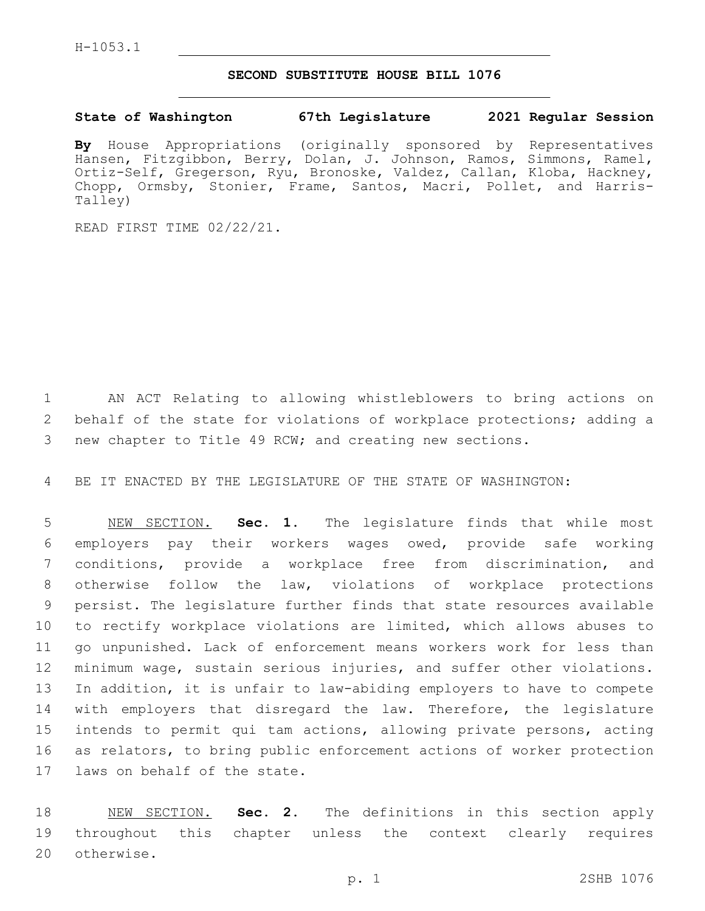## **SECOND SUBSTITUTE HOUSE BILL 1076**

## **State of Washington 67th Legislature 2021 Regular Session**

**By** House Appropriations (originally sponsored by Representatives Hansen, Fitzgibbon, Berry, Dolan, J. Johnson, Ramos, Simmons, Ramel, Ortiz-Self, Gregerson, Ryu, Bronoske, Valdez, Callan, Kloba, Hackney, Chopp, Ormsby, Stonier, Frame, Santos, Macri, Pollet, and Harris-Talley)

READ FIRST TIME 02/22/21.

 AN ACT Relating to allowing whistleblowers to bring actions on behalf of the state for violations of workplace protections; adding a new chapter to Title 49 RCW; and creating new sections.

BE IT ENACTED BY THE LEGISLATURE OF THE STATE OF WASHINGTON:

 NEW SECTION. **Sec. 1.** The legislature finds that while most employers pay their workers wages owed, provide safe working conditions, provide a workplace free from discrimination, and otherwise follow the law, violations of workplace protections persist. The legislature further finds that state resources available to rectify workplace violations are limited, which allows abuses to go unpunished. Lack of enforcement means workers work for less than minimum wage, sustain serious injuries, and suffer other violations. In addition, it is unfair to law-abiding employers to have to compete 14 with employers that disregard the law. Therefore, the legislature intends to permit qui tam actions, allowing private persons, acting as relators, to bring public enforcement actions of worker protection laws on behalf of the state.

 NEW SECTION. **Sec. 2.** The definitions in this section apply throughout this chapter unless the context clearly requires otherwise.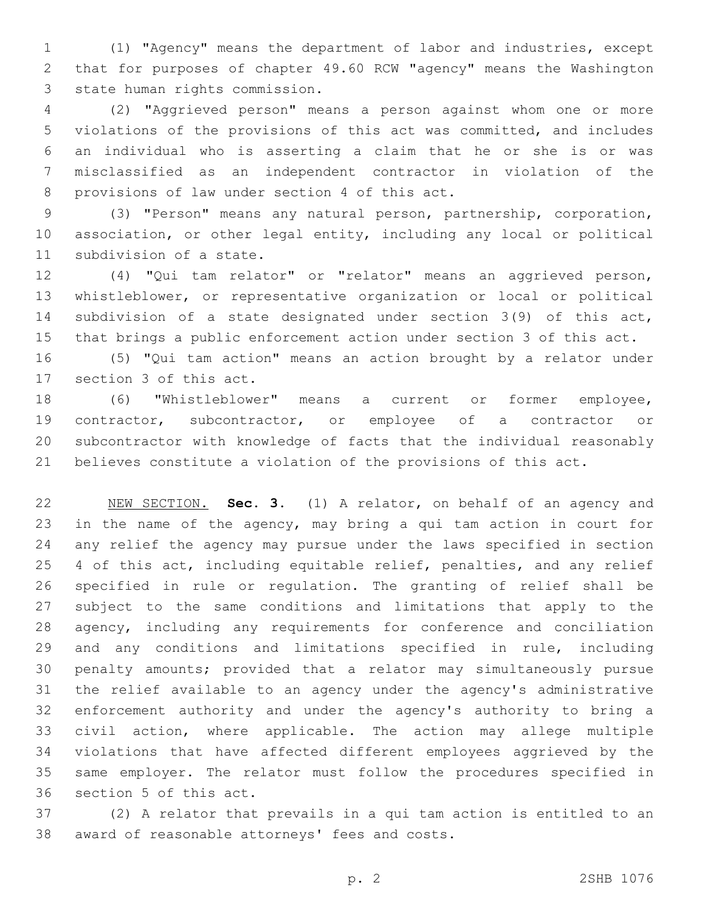(1) "Agency" means the department of labor and industries, except that for purposes of chapter 49.60 RCW "agency" means the Washington 3 state human rights commission.

 (2) "Aggrieved person" means a person against whom one or more violations of the provisions of this act was committed, and includes an individual who is asserting a claim that he or she is or was misclassified as an independent contractor in violation of the 8 provisions of law under section 4 of this act.

 (3) "Person" means any natural person, partnership, corporation, association, or other legal entity, including any local or political 11 subdivision of a state.

 (4) "Qui tam relator" or "relator" means an aggrieved person, whistleblower, or representative organization or local or political subdivision of a state designated under section 3(9) of this act, that brings a public enforcement action under section 3 of this act.

 (5) "Qui tam action" means an action brought by a relator under 17 section 3 of this act.

 (6) "Whistleblower" means a current or former employee, contractor, subcontractor, or employee of a contractor or subcontractor with knowledge of facts that the individual reasonably believes constitute a violation of the provisions of this act.

 NEW SECTION. **Sec. 3.** (1) A relator, on behalf of an agency and in the name of the agency, may bring a qui tam action in court for any relief the agency may pursue under the laws specified in section 25 4 of this act, including equitable relief, penalties, and any relief specified in rule or regulation. The granting of relief shall be subject to the same conditions and limitations that apply to the agency, including any requirements for conference and conciliation and any conditions and limitations specified in rule, including penalty amounts; provided that a relator may simultaneously pursue the relief available to an agency under the agency's administrative enforcement authority and under the agency's authority to bring a civil action, where applicable. The action may allege multiple violations that have affected different employees aggrieved by the same employer. The relator must follow the procedures specified in section 5 of this act.

 (2) A relator that prevails in a qui tam action is entitled to an 38 award of reasonable attorneys' fees and costs.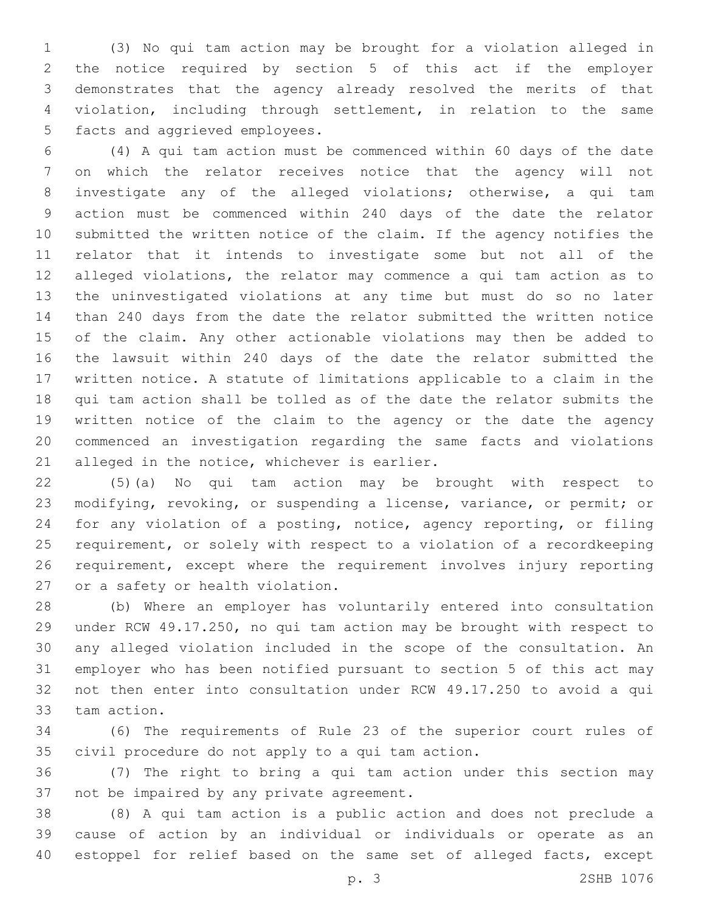(3) No qui tam action may be brought for a violation alleged in the notice required by section 5 of this act if the employer demonstrates that the agency already resolved the merits of that violation, including through settlement, in relation to the same 5 facts and aggrieved employees.

 (4) A qui tam action must be commenced within 60 days of the date on which the relator receives notice that the agency will not investigate any of the alleged violations; otherwise, a qui tam action must be commenced within 240 days of the date the relator submitted the written notice of the claim. If the agency notifies the relator that it intends to investigate some but not all of the alleged violations, the relator may commence a qui tam action as to the uninvestigated violations at any time but must do so no later than 240 days from the date the relator submitted the written notice of the claim. Any other actionable violations may then be added to the lawsuit within 240 days of the date the relator submitted the written notice. A statute of limitations applicable to a claim in the qui tam action shall be tolled as of the date the relator submits the written notice of the claim to the agency or the date the agency commenced an investigation regarding the same facts and violations 21 alleged in the notice, whichever is earlier.

 (5)(a) No qui tam action may be brought with respect to modifying, revoking, or suspending a license, variance, or permit; or for any violation of a posting, notice, agency reporting, or filing requirement, or solely with respect to a violation of a recordkeeping requirement, except where the requirement involves injury reporting 27 or a safety or health violation.

 (b) Where an employer has voluntarily entered into consultation under RCW 49.17.250, no qui tam action may be brought with respect to any alleged violation included in the scope of the consultation. An employer who has been notified pursuant to section 5 of this act may not then enter into consultation under RCW 49.17.250 to avoid a qui 33 tam action.

 (6) The requirements of Rule 23 of the superior court rules of 35 civil procedure do not apply to a qui tam action.

 (7) The right to bring a qui tam action under this section may 37 not be impaired by any private agreement.

 (8) A qui tam action is a public action and does not preclude a cause of action by an individual or individuals or operate as an estoppel for relief based on the same set of alleged facts, except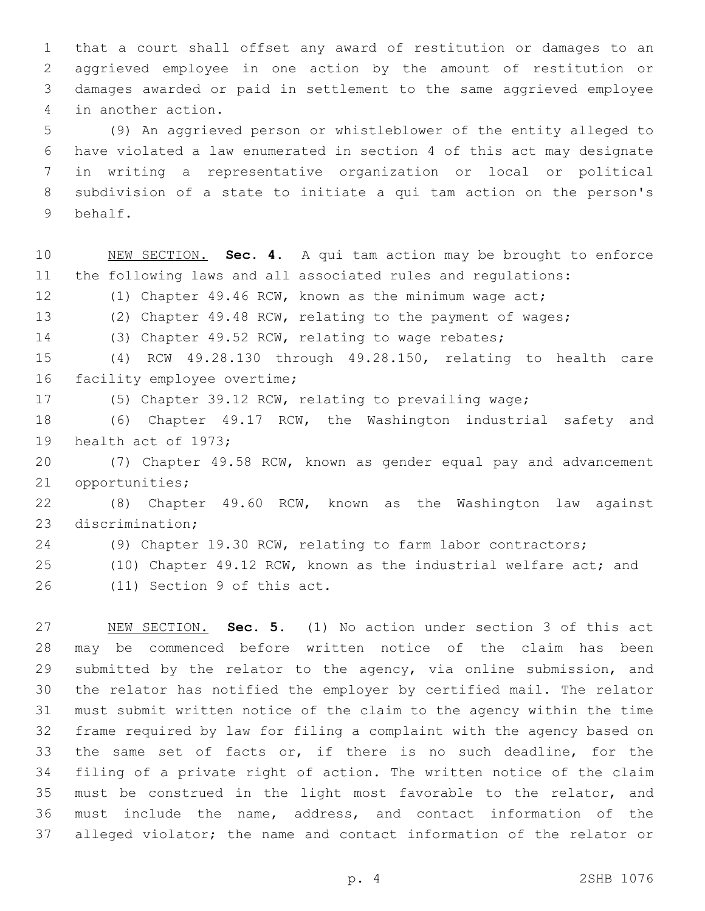that a court shall offset any award of restitution or damages to an aggrieved employee in one action by the amount of restitution or damages awarded or paid in settlement to the same aggrieved employee 4 in another action.

 (9) An aggrieved person or whistleblower of the entity alleged to have violated a law enumerated in section 4 of this act may designate in writing a representative organization or local or political subdivision of a state to initiate a qui tam action on the person's behalf.9

 NEW SECTION. **Sec. 4.** A qui tam action may be brought to enforce the following laws and all associated rules and regulations: (1) Chapter 49.46 RCW, known as the minimum wage act; (2) Chapter 49.48 RCW, relating to the payment of wages; (3) Chapter 49.52 RCW, relating to wage rebates; (4) RCW 49.28.130 through 49.28.150, relating to health care 16 facility employee overtime; (5) Chapter 39.12 RCW, relating to prevailing wage; (6) Chapter 49.17 RCW, the Washington industrial safety and 19 health act of 1973; (7) Chapter 49.58 RCW, known as gender equal pay and advancement 21 opportunities; (8) Chapter 49.60 RCW, known as the Washington law against 23 discrimination;

(9) Chapter 19.30 RCW, relating to farm labor contractors;

(10) Chapter 49.12 RCW, known as the industrial welfare act; and

26 (11) Section 9 of this act.

 NEW SECTION. **Sec. 5.** (1) No action under section 3 of this act may be commenced before written notice of the claim has been 29 submitted by the relator to the agency, via online submission, and the relator has notified the employer by certified mail. The relator must submit written notice of the claim to the agency within the time frame required by law for filing a complaint with the agency based on the same set of facts or, if there is no such deadline, for the filing of a private right of action. The written notice of the claim must be construed in the light most favorable to the relator, and must include the name, address, and contact information of the alleged violator; the name and contact information of the relator or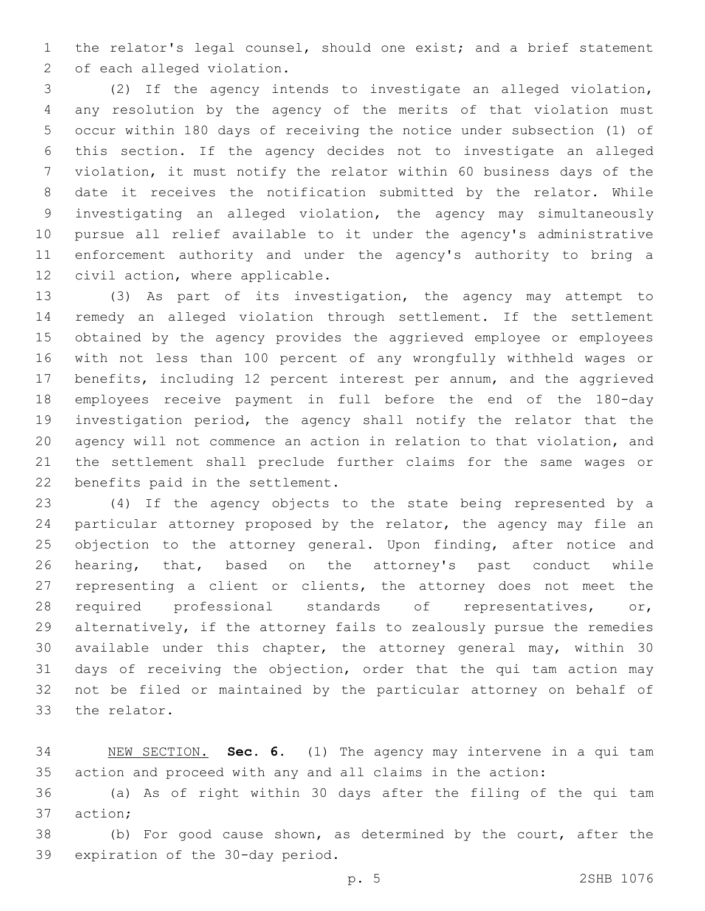the relator's legal counsel, should one exist; and a brief statement 2 of each alleged violation.

 (2) If the agency intends to investigate an alleged violation, any resolution by the agency of the merits of that violation must occur within 180 days of receiving the notice under subsection (1) of this section. If the agency decides not to investigate an alleged violation, it must notify the relator within 60 business days of the date it receives the notification submitted by the relator. While investigating an alleged violation, the agency may simultaneously pursue all relief available to it under the agency's administrative enforcement authority and under the agency's authority to bring a 12 civil action, where applicable.

 (3) As part of its investigation, the agency may attempt to remedy an alleged violation through settlement. If the settlement obtained by the agency provides the aggrieved employee or employees with not less than 100 percent of any wrongfully withheld wages or benefits, including 12 percent interest per annum, and the aggrieved employees receive payment in full before the end of the 180-day investigation period, the agency shall notify the relator that the agency will not commence an action in relation to that violation, and the settlement shall preclude further claims for the same wages or 22 benefits paid in the settlement.

 (4) If the agency objects to the state being represented by a particular attorney proposed by the relator, the agency may file an 25 objection to the attorney general. Upon finding, after notice and hearing, that, based on the attorney's past conduct while representing a client or clients, the attorney does not meet the required professional standards of representatives, or, alternatively, if the attorney fails to zealously pursue the remedies available under this chapter, the attorney general may, within 30 days of receiving the objection, order that the qui tam action may not be filed or maintained by the particular attorney on behalf of 33 the relator.

 NEW SECTION. **Sec. 6.** (1) The agency may intervene in a qui tam action and proceed with any and all claims in the action:

 (a) As of right within 30 days after the filing of the qui tam 37 action;

 (b) For good cause shown, as determined by the court, after the 39 expiration of the 30-day period.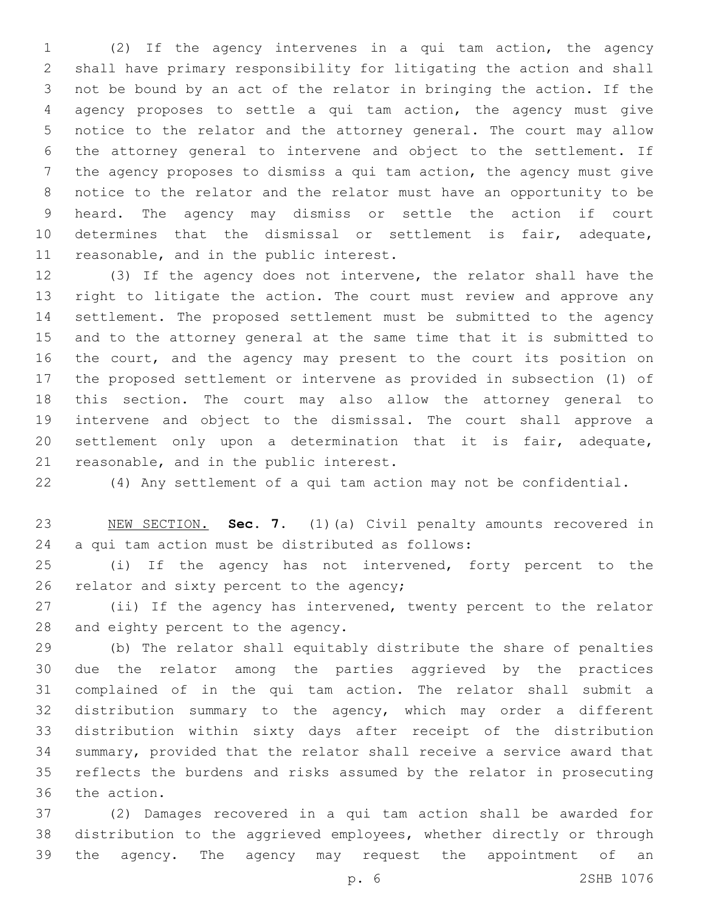(2) If the agency intervenes in a qui tam action, the agency shall have primary responsibility for litigating the action and shall not be bound by an act of the relator in bringing the action. If the agency proposes to settle a qui tam action, the agency must give notice to the relator and the attorney general. The court may allow the attorney general to intervene and object to the settlement. If the agency proposes to dismiss a qui tam action, the agency must give notice to the relator and the relator must have an opportunity to be heard. The agency may dismiss or settle the action if court determines that the dismissal or settlement is fair, adequate, 11 reasonable, and in the public interest.

 (3) If the agency does not intervene, the relator shall have the right to litigate the action. The court must review and approve any settlement. The proposed settlement must be submitted to the agency and to the attorney general at the same time that it is submitted to the court, and the agency may present to the court its position on the proposed settlement or intervene as provided in subsection (1) of this section. The court may also allow the attorney general to intervene and object to the dismissal. The court shall approve a settlement only upon a determination that it is fair, adequate, 21 reasonable, and in the public interest.

(4) Any settlement of a qui tam action may not be confidential.

 NEW SECTION. **Sec. 7.** (1)(a) Civil penalty amounts recovered in a qui tam action must be distributed as follows:

 (i) If the agency has not intervened, forty percent to the 26 relator and sixty percent to the agency;

 (ii) If the agency has intervened, twenty percent to the relator 28 and eighty percent to the agency.

 (b) The relator shall equitably distribute the share of penalties due the relator among the parties aggrieved by the practices complained of in the qui tam action. The relator shall submit a distribution summary to the agency, which may order a different distribution within sixty days after receipt of the distribution summary, provided that the relator shall receive a service award that reflects the burdens and risks assumed by the relator in prosecuting 36 the action.

 (2) Damages recovered in a qui tam action shall be awarded for distribution to the aggrieved employees, whether directly or through the agency. The agency may request the appointment of an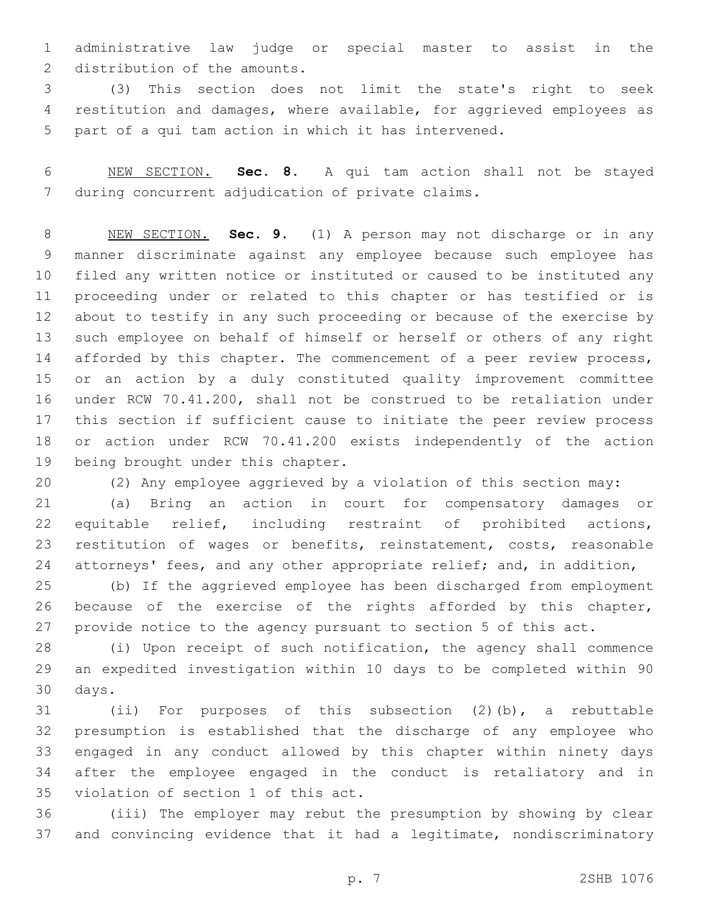administrative law judge or special master to assist in the 2 distribution of the amounts.

 (3) This section does not limit the state's right to seek restitution and damages, where available, for aggrieved employees as part of a qui tam action in which it has intervened.

 NEW SECTION. **Sec. 8.** A qui tam action shall not be stayed during concurrent adjudication of private claims.

 NEW SECTION. **Sec. 9.** (1) A person may not discharge or in any manner discriminate against any employee because such employee has filed any written notice or instituted or caused to be instituted any proceeding under or related to this chapter or has testified or is about to testify in any such proceeding or because of the exercise by such employee on behalf of himself or herself or others of any right 14 afforded by this chapter. The commencement of a peer review process, or an action by a duly constituted quality improvement committee under RCW 70.41.200, shall not be construed to be retaliation under this section if sufficient cause to initiate the peer review process or action under RCW 70.41.200 exists independently of the action being brought under this chapter.

(2) Any employee aggrieved by a violation of this section may:

 (a) Bring an action in court for compensatory damages or equitable relief, including restraint of prohibited actions, 23 restitution of wages or benefits, reinstatement, costs, reasonable attorneys' fees, and any other appropriate relief; and, in addition,

 (b) If the aggrieved employee has been discharged from employment because of the exercise of the rights afforded by this chapter, provide notice to the agency pursuant to section 5 of this act.

 (i) Upon receipt of such notification, the agency shall commence an expedited investigation within 10 days to be completed within 90 30 days.

 (ii) For purposes of this subsection (2)(b), a rebuttable presumption is established that the discharge of any employee who engaged in any conduct allowed by this chapter within ninety days after the employee engaged in the conduct is retaliatory and in 35 violation of section 1 of this act.

 (iii) The employer may rebut the presumption by showing by clear and convincing evidence that it had a legitimate, nondiscriminatory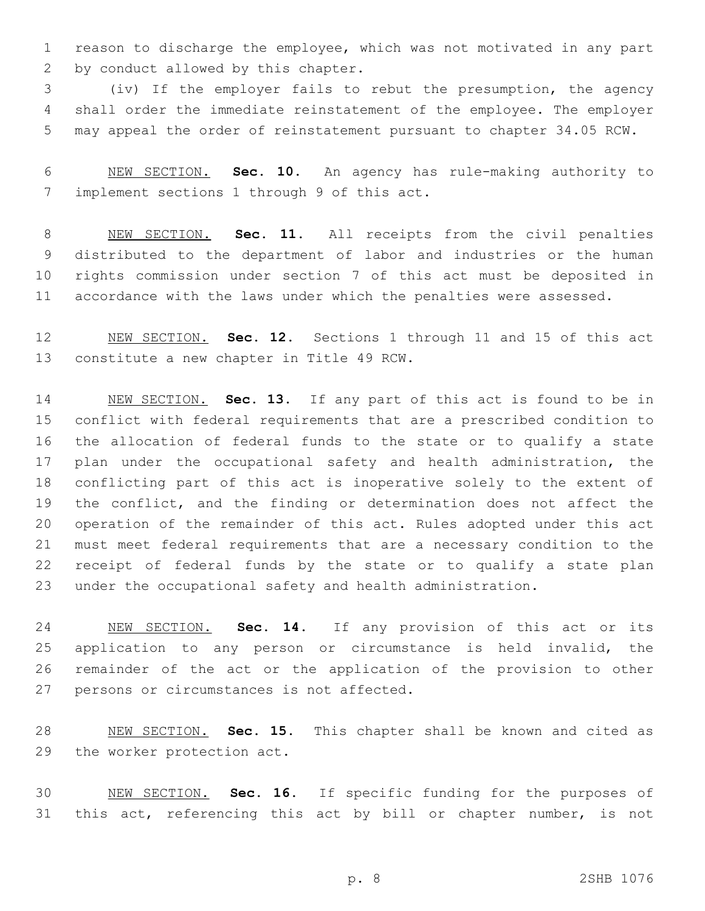reason to discharge the employee, which was not motivated in any part 2 by conduct allowed by this chapter.

 (iv) If the employer fails to rebut the presumption, the agency shall order the immediate reinstatement of the employee. The employer may appeal the order of reinstatement pursuant to chapter 34.05 RCW.

 NEW SECTION. **Sec. 10.** An agency has rule-making authority to implement sections 1 through 9 of this act.

 NEW SECTION. **Sec. 11.** All receipts from the civil penalties distributed to the department of labor and industries or the human rights commission under section 7 of this act must be deposited in accordance with the laws under which the penalties were assessed.

 NEW SECTION. **Sec. 12.** Sections 1 through 11 and 15 of this act constitute a new chapter in Title 49 RCW.

 NEW SECTION. **Sec. 13.** If any part of this act is found to be in conflict with federal requirements that are a prescribed condition to the allocation of federal funds to the state or to qualify a state 17 plan under the occupational safety and health administration, the conflicting part of this act is inoperative solely to the extent of the conflict, and the finding or determination does not affect the operation of the remainder of this act. Rules adopted under this act must meet federal requirements that are a necessary condition to the receipt of federal funds by the state or to qualify a state plan under the occupational safety and health administration.

 NEW SECTION. **Sec. 14.** If any provision of this act or its 25 application to any person or circumstance is held invalid, the remainder of the act or the application of the provision to other persons or circumstances is not affected.

 NEW SECTION. **Sec. 15.** This chapter shall be known and cited as the worker protection act.

 NEW SECTION. **Sec. 16.** If specific funding for the purposes of 31 this act, referencing this act by bill or chapter number, is not